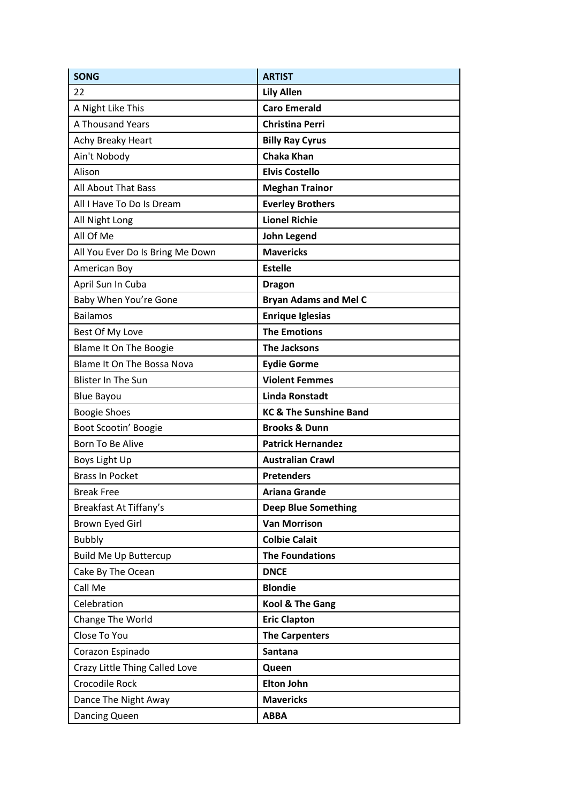| <b>SONG</b>                       | <b>ARTIST</b>                     |
|-----------------------------------|-----------------------------------|
| 22                                | <b>Lily Allen</b>                 |
| A Night Like This                 | <b>Caro Emerald</b>               |
| A Thousand Years                  | <b>Christina Perri</b>            |
| Achy Breaky Heart                 | <b>Billy Ray Cyrus</b>            |
| Ain't Nobody                      | <b>Chaka Khan</b>                 |
| Alison                            | <b>Elvis Costello</b>             |
| <b>All About That Bass</b>        | <b>Meghan Trainor</b>             |
| All I Have To Do Is Dream         | <b>Everley Brothers</b>           |
| All Night Long                    | <b>Lionel Richie</b>              |
| All Of Me                         | John Legend                       |
| All You Ever Do Is Bring Me Down  | <b>Mavericks</b>                  |
| American Boy                      | <b>Estelle</b>                    |
| April Sun In Cuba                 | <b>Dragon</b>                     |
| Baby When You're Gone             | <b>Bryan Adams and Mel C</b>      |
| <b>Bailamos</b>                   | <b>Enrique Iglesias</b>           |
| Best Of My Love                   | <b>The Emotions</b>               |
| Blame It On The Boogie            | <b>The Jacksons</b>               |
| <b>Blame It On The Bossa Nova</b> | <b>Eydie Gorme</b>                |
| <b>Blister In The Sun</b>         | <b>Violent Femmes</b>             |
| <b>Blue Bayou</b>                 | <b>Linda Ronstadt</b>             |
| <b>Boogie Shoes</b>               | <b>KC &amp; The Sunshine Band</b> |
| Boot Scootin' Boogie              | <b>Brooks &amp; Dunn</b>          |
| Born To Be Alive                  | <b>Patrick Hernandez</b>          |
| Boys Light Up                     | <b>Australian Crawl</b>           |
| <b>Brass In Pocket</b>            | <b>Pretenders</b>                 |
| <b>Break Free</b>                 | <b>Ariana Grande</b>              |
| Breakfast At Tiffany's            | <b>Deep Blue Something</b>        |
| Brown Eyed Girl                   | <b>Van Morrison</b>               |
| <b>Bubbly</b>                     | <b>Colbie Calait</b>              |
| <b>Build Me Up Buttercup</b>      | <b>The Foundations</b>            |
| Cake By The Ocean                 | <b>DNCE</b>                       |
| Call Me                           | <b>Blondie</b>                    |
| Celebration                       | <b>Kool &amp; The Gang</b>        |
| Change The World                  | <b>Eric Clapton</b>               |
| Close To You                      | <b>The Carpenters</b>             |
| Corazon Espinado                  | Santana                           |
| Crazy Little Thing Called Love    | Queen                             |
| Crocodile Rock                    | <b>Elton John</b>                 |
| Dance The Night Away              | <b>Mavericks</b>                  |
| Dancing Queen                     | <b>ABBA</b>                       |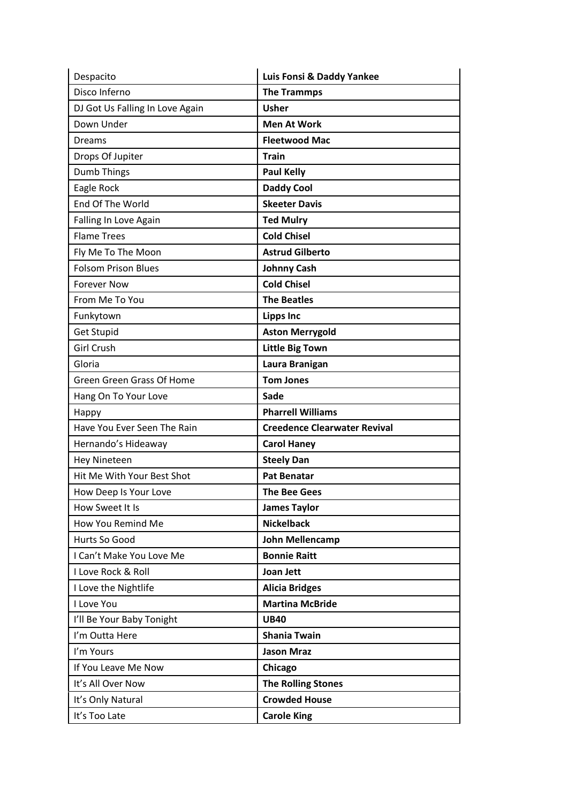| Despacito                       | Luis Fonsi & Daddy Yankee           |
|---------------------------------|-------------------------------------|
| Disco Inferno                   | <b>The Trammps</b>                  |
| DJ Got Us Falling In Love Again | <b>Usher</b>                        |
| Down Under                      | <b>Men At Work</b>                  |
| <b>Dreams</b>                   | <b>Fleetwood Mac</b>                |
| Drops Of Jupiter                | <b>Train</b>                        |
| Dumb Things                     | <b>Paul Kelly</b>                   |
| Eagle Rock                      | <b>Daddy Cool</b>                   |
| End Of The World                | <b>Skeeter Davis</b>                |
| Falling In Love Again           | <b>Ted Mulry</b>                    |
| <b>Flame Trees</b>              | <b>Cold Chisel</b>                  |
| Fly Me To The Moon              | <b>Astrud Gilberto</b>              |
| <b>Folsom Prison Blues</b>      | <b>Johnny Cash</b>                  |
| <b>Forever Now</b>              | <b>Cold Chisel</b>                  |
| From Me To You                  | <b>The Beatles</b>                  |
| Funkytown                       | <b>Lipps Inc</b>                    |
| <b>Get Stupid</b>               | <b>Aston Merrygold</b>              |
| <b>Girl Crush</b>               | <b>Little Big Town</b>              |
| Gloria                          | Laura Branigan                      |
| Green Green Grass Of Home       | <b>Tom Jones</b>                    |
| Hang On To Your Love            | Sade                                |
| Happy                           | <b>Pharrell Williams</b>            |
| Have You Ever Seen The Rain     | <b>Creedence Clearwater Revival</b> |
| Hernando's Hideaway             | <b>Carol Haney</b>                  |
| <b>Hey Nineteen</b>             | <b>Steely Dan</b>                   |
| Hit Me With Your Best Shot      | <b>Pat Benatar</b>                  |
| How Deep Is Your Love           | <b>The Bee Gees</b>                 |
| How Sweet It Is                 | <b>James Taylor</b>                 |
| How You Remind Me               | <b>Nickelback</b>                   |
| Hurts So Good                   | John Mellencamp                     |
| I Can't Make You Love Me        | <b>Bonnie Raitt</b>                 |
| I Love Rock & Roll              | Joan Jett                           |
| I Love the Nightlife            | <b>Alicia Bridges</b>               |
| I Love You                      | <b>Martina McBride</b>              |
| I'll Be Your Baby Tonight       | <b>UB40</b>                         |
| I'm Outta Here                  | <b>Shania Twain</b>                 |
| I'm Yours                       | <b>Jason Mraz</b>                   |
| If You Leave Me Now             | Chicago                             |
| It's All Over Now               | <b>The Rolling Stones</b>           |
| It's Only Natural               | <b>Crowded House</b>                |
| It's Too Late                   | <b>Carole King</b>                  |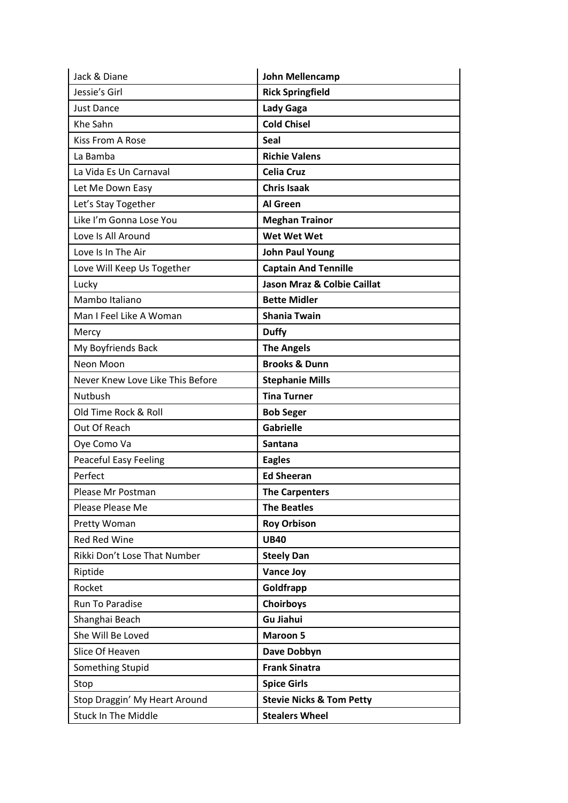| Jack & Diane                     | John Mellencamp                        |
|----------------------------------|----------------------------------------|
| Jessie's Girl                    | <b>Rick Springfield</b>                |
| <b>Just Dance</b>                | <b>Lady Gaga</b>                       |
| Khe Sahn                         | <b>Cold Chisel</b>                     |
| <b>Kiss From A Rose</b>          | <b>Seal</b>                            |
| La Bamba                         | <b>Richie Valens</b>                   |
| La Vida Es Un Carnaval           | <b>Celia Cruz</b>                      |
| Let Me Down Easy                 | <b>Chris Isaak</b>                     |
| Let's Stay Together              | Al Green                               |
| Like I'm Gonna Lose You          | <b>Meghan Trainor</b>                  |
| Love Is All Around               | <b>Wet Wet Wet</b>                     |
| Love Is In The Air               | <b>John Paul Young</b>                 |
| Love Will Keep Us Together       | <b>Captain And Tennille</b>            |
| Lucky                            | <b>Jason Mraz &amp; Colbie Caillat</b> |
| Mambo Italiano                   | <b>Bette Midler</b>                    |
| Man I Feel Like A Woman          | <b>Shania Twain</b>                    |
| Mercy                            | <b>Duffy</b>                           |
| My Boyfriends Back               | <b>The Angels</b>                      |
| Neon Moon                        | <b>Brooks &amp; Dunn</b>               |
| Never Knew Love Like This Before | <b>Stephanie Mills</b>                 |
| Nutbush                          | <b>Tina Turner</b>                     |
| Old Time Rock & Roll             | <b>Bob Seger</b>                       |
| Out Of Reach                     | <b>Gabrielle</b>                       |
| Oye Como Va                      | <b>Santana</b>                         |
| <b>Peaceful Easy Feeling</b>     | <b>Eagles</b>                          |
| Perfect                          | <b>Ed Sheeran</b>                      |
| Please Mr Postman                | <b>The Carpenters</b>                  |
| Please Please Me                 | <b>The Beatles</b>                     |
| Pretty Woman                     | <b>Roy Orbison</b>                     |
| <b>Red Red Wine</b>              | <b>UB40</b>                            |
| Rikki Don't Lose That Number     | <b>Steely Dan</b>                      |
| Riptide                          | <b>Vance Joy</b>                       |
| Rocket                           | Goldfrapp                              |
| Run To Paradise                  | Choirboys                              |
| Shanghai Beach                   | <b>Gu Jiahui</b>                       |
| She Will Be Loved                | <b>Maroon 5</b>                        |
| Slice Of Heaven                  | Dave Dobbyn                            |
| Something Stupid                 | <b>Frank Sinatra</b>                   |
| Stop                             | <b>Spice Girls</b>                     |
| Stop Draggin' My Heart Around    | <b>Stevie Nicks &amp; Tom Petty</b>    |
| <b>Stuck In The Middle</b>       | <b>Stealers Wheel</b>                  |